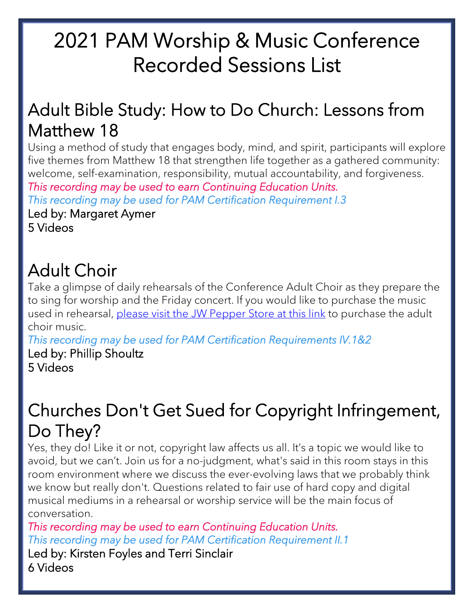# 2021 PAM Worship & Music Conference Recorded Sessions List

## Adult Bible Study: How to Do Church: Lessons from Matthew 18

Using a method of study that engages body, mind, and spirit, participants will explore five themes from Matthew 18 that strengthen life together as a gathered community: welcome, self-examination, responsibility, mutual accountability, and forgiveness.

*This recording may be used to earn Continuing Education Units. This recording may be used for PAM Certification Requirement I.3* 

Led by: Margaret Aymer 5 Videos

## Adult Choir

Take a glimpse of daily rehearsals of the Conference Adult Choir as they prepare the to sing for worship and the Friday concert. If you would like to purchase the music used in rehearsal, please visit the JW [Pepper](https://www.jwpepper.com/sheet-music/search.jsp?keywords=10536859) Store at this link to purchase the adult choir music.

*This recording may be used for PAM Certification Requirements IV.1&2*  Led by: Phillip Shoultz 5 Videos

### Churches Don't Get Sued for Copyright Infringement, Do They?

Yes, they do! Like it or not, copyright law affects us all. It's a topic we would like to avoid, but we can't. Join us for a no-judgment, what's said in this room stays in this room environment where we discuss the ever-evolving laws that we probably think we know but really don't. Questions related to fair use of hard copy and digital musical mediums in a rehearsal or worship service will be the main focus of conversation.

*This recording may be used to earn Continuing Education Units. This recording may be used for PAM Certification Requirement II.1* 

Led by: Kirsten Foyles and Terri Sinclair 6 Videos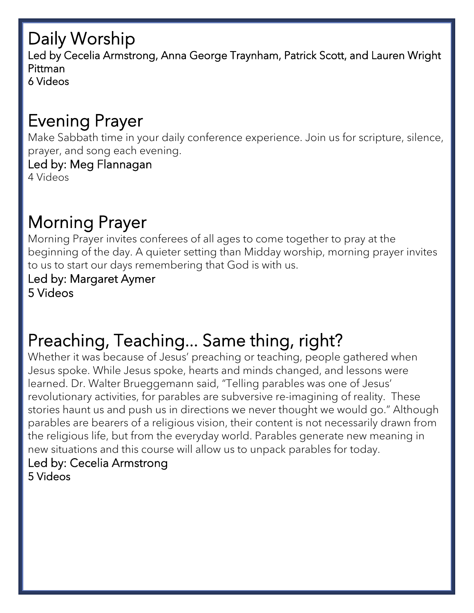# Daily Worship

Led by Cecelia Armstrong, Anna George Traynham, Patrick Scott, and Lauren Wright Pittman 6 Videos

Evening Prayer

Make Sabbath time in your daily conference experience. Join us for scripture, silence, prayer, and song each evening.

### Led by: Meg Flannagan

4 Videos

## Morning Prayer

Morning Prayer invites conferees of all ages to come together to pray at the beginning of the day. A quieter setting than Midday worship, morning prayer invites to us to start our days remembering that God is with us.

#### Led by: Margaret Aymer 5 Videos

# Preaching, Teaching... Same thing, right?

Whether it was because of Jesus' preaching or teaching, people gathered when Jesus spoke. While Jesus spoke, hearts and minds changed, and lessons were learned. Dr. Walter Brueggemann said, "Telling parables was one of Jesus' revolutionary activities, for parables are subversive re-imagining of reality. These stories haunt us and push us in directions we never thought we would go." Although parables are bearers of a religious vision, their content is not necessarily drawn from the religious life, but from the everyday world. Parables generate new meaning in new situations and this course will allow us to unpack parables for today.

#### Led by: Cecelia Armstrong 5 Videos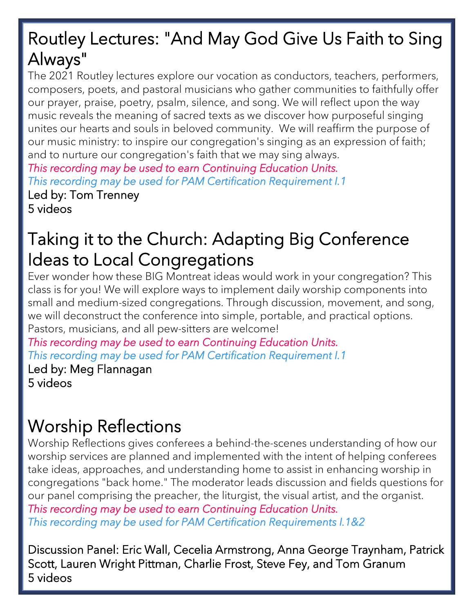### Routley Lectures: "And May God Give Us Faith to Sing Always"

The 2021 Routley lectures explore our vocation as conductors, teachers, performers, composers, poets, and pastoral musicians who gather communities to faithfully offer our prayer, praise, poetry, psalm, silence, and song. We will reflect upon the way music reveals the meaning of sacred texts as we discover how purposeful singing unites our hearts and souls in beloved community. We will reaffirm the purpose of our music ministry: to inspire our congregation's singing as an expression of faith; and to nurture our congregation's faith that we may sing always.

*This recording may be used to earn Continuing Education Units. This recording may be used for PAM Certification Requirement I.1*  Led by: Tom Trenney 5 videos

# Taking it to the Church: Adapting Big Conference Ideas to Local Congregations

Ever wonder how these BIG Montreat ideas would work in your congregation? This class is for you! We will explore ways to implement daily worship components into small and medium-sized congregations. Through discussion, movement, and song, we will deconstruct the conference into simple, portable, and practical options. Pastors, musicians, and all pew-sitters are welcome!

*This recording may be used to earn Continuing Education Units. This recording may be used for PAM Certification Requirement I.1*  Led by: Meg Flannagan 5 videos

# Worship Reflections

Worship Reflections gives conferees a behind-the-scenes understanding of how our worship services are planned and implemented with the intent of helping conferees take ideas, approaches, and understanding home to assist in enhancing worship in congregations "back home." The moderator leads discussion and fields questions for our panel comprising the preacher, the liturgist, the visual artist, and the organist. *This recording may be used to earn Continuing Education Units. This recording may be used for PAM Certification Requirements I.1&2* 

Discussion Panel: Eric Wall, Cecelia Armstrong, Anna George Traynham, Patrick Scott, Lauren Wright Pittman, Charlie Frost, Steve Fey, and Tom Granum 5 videos